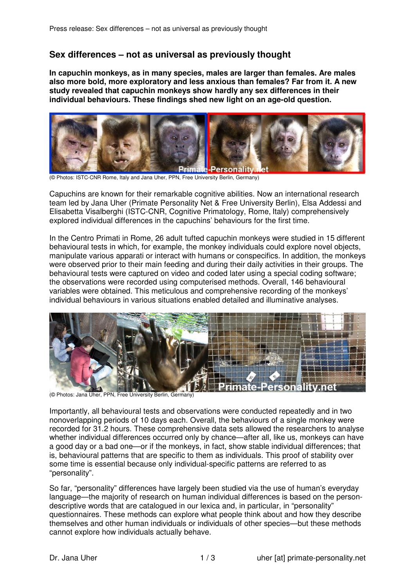## **Sex differences – not as universal as previously thought**

**In capuchin monkeys, as in many species, males are larger than females. Are males also more bold, more exploratory and less anxious than females? Far from it. A new study revealed that capuchin monkeys show hardly any sex differences in their individual behaviours. These findings shed new light on an age-old question.** 



(© Photos: ISTC-CNR Rome, Italy and Jana Uher, PPN, Free University Berlin, Germany)

Capuchins are known for their remarkable cognitive abilities. Now an international research team led by Jana Uher (Primate Personality Net & Free University Berlin), Elsa Addessi and Elisabetta Visalberghi (ISTC-CNR, Cognitive Primatology, Rome, Italy) comprehensively explored individual differences in the capuchins' behaviours for the first time.

In the Centro Primati in Rome, 26 adult tufted capuchin monkeys were studied in 15 different behavioural tests in which, for example, the monkey individuals could explore novel objects, manipulate various apparati or interact with humans or conspecifics. In addition, the monkeys were observed prior to their main feeding and during their daily activities in their groups. The behavioural tests were captured on video and coded later using a special coding software; the observations were recorded using computerised methods. Overall, 146 behavioural variables were obtained. This meticulous and comprehensive recording of the monkeys' individual behaviours in various situations enabled detailed and illuminative analyses.



(© Photos: Jana Uher, PPN, Free University Berlin, Germany)

Importantly, all behavioural tests and observations were conducted repeatedly and in two nonoverlapping periods of 10 days each. Overall, the behaviours of a single monkey were recorded for 31.2 hours. These comprehensive data sets allowed the researchers to analyse whether individual differences occurred only by chance—after all, like us, monkeys can have a good day or a bad one—or if the monkeys, in fact, show stable individual differences; that is, behavioural patterns that are specific to them as individuals. This proof of stability over some time is essential because only individual-specific patterns are referred to as "personality".

So far, "personality" differences have largely been studied via the use of human's everyday language—the majority of research on human individual differences is based on the persondescriptive words that are catalogued in our lexica and, in particular, in "personality" questionnaires. These methods can explore what people think about and how they describe themselves and other human individuals or individuals of other species—but these methods cannot explore how individuals actually behave.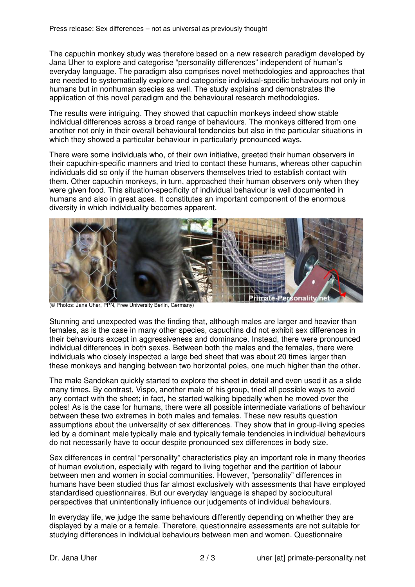The capuchin monkey study was therefore based on a new research paradigm developed by Jana Uher to explore and categorise "personality differences" independent of human's everyday language. The paradigm also comprises novel methodologies and approaches that are needed to systematically explore and categorise individual-specific behaviours not only in humans but in nonhuman species as well. The study explains and demonstrates the application of this novel paradigm and the behavioural research methodologies.

The results were intriguing. They showed that capuchin monkeys indeed show stable individual differences across a broad range of behaviours. The monkeys differed from one another not only in their overall behavioural tendencies but also in the particular situations in which they showed a particular behaviour in particularly pronounced ways.

There were some individuals who, of their own initiative, greeted their human observers in their capuchin-specific manners and tried to contact these humans, whereas other capuchin individuals did so only if the human observers themselves tried to establish contact with them. Other capuchin monkeys, in turn, approached their human observers only when they were given food. This situation-specificity of individual behaviour is well documented in humans and also in great apes. It constitutes an important component of the enormous diversity in which individuality becomes apparent.



**Photos: Jana Uher, PPN, Free University Berlin, Germany)** 

Stunning and unexpected was the finding that, although males are larger and heavier than females, as is the case in many other species, capuchins did not exhibit sex differences in their behaviours except in aggressiveness and dominance. Instead, there were pronounced individual differences in both sexes. Between both the males and the females, there were individuals who closely inspected a large bed sheet that was about 20 times larger than these monkeys and hanging between two horizontal poles, one much higher than the other.

The male Sandokan quickly started to explore the sheet in detail and even used it as a slide many times. By contrast, Vispo, another male of his group, tried all possible ways to avoid any contact with the sheet; in fact, he started walking bipedally when he moved over the poles! As is the case for humans, there were all possible intermediate variations of behaviour between these two extremes in both males and females. These new results question assumptions about the universality of sex differences. They show that in group-living species led by a dominant male typically male and typically female tendencies in individual behaviours do not necessarily have to occur despite pronounced sex differences in body size.

Sex differences in central "personality" characteristics play an important role in many theories of human evolution, especially with regard to living together and the partition of labour between men and women in social communities. However, "personality" differences in humans have been studied thus far almost exclusively with assessments that have employed standardised questionnaires. But our everyday language is shaped by sociocultural perspectives that unintentionally influence our judgements of individual behaviours.

In everyday life, we judge the same behaviours differently depending on whether they are displayed by a male or a female. Therefore, questionnaire assessments are not suitable for studying differences in individual behaviours between men and women. Questionnaire